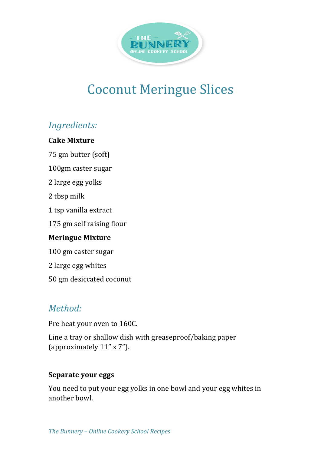

# **Coconut Meringue Slices**

# *Ingredients:*

## **Cake Mixture**

75 gm butter (soft)

100gm caster sugar

2 large egg yolks

2 tbsp milk

1 tsp vanilla extract

175 gm self raising flour

#### **Meringue Mixture**

100 gm caster sugar

2 large egg whites

50 gm desiccated coconut

# *Method:*

Pre heat your oven to 160C.

Line a tray or shallow dish with greaseproof/baking paper (approximately 11" x 7").

#### **Separate your eggs**

You need to put your egg yolks in one bowl and your egg whites in another howl.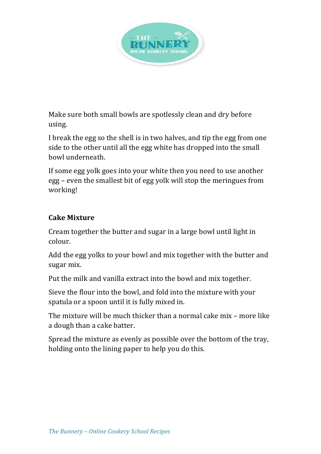

Make sure both small bowls are spotlessly clean and dry before using.

I break the egg so the shell is in two halves, and tip the egg from one side to the other until all the egg white has dropped into the small bowl underneath.

If some egg yolk goes into your white then you need to use another egg – even the smallest bit of egg yolk will stop the meringues from working!

## **Cake Mixture**

Cream together the butter and sugar in a large bowl until light in colour.

Add the egg yolks to your bowl and mix together with the butter and sugar mix.

Put the milk and vanilla extract into the bowl and mix together.

Sieve the flour into the bowl, and fold into the mixture with your spatula or a spoon until it is fully mixed in.

The mixture will be much thicker than a normal cake mix - more like a dough than a cake batter.

Spread the mixture as evenly as possible over the bottom of the tray, holding onto the lining paper to help you do this.